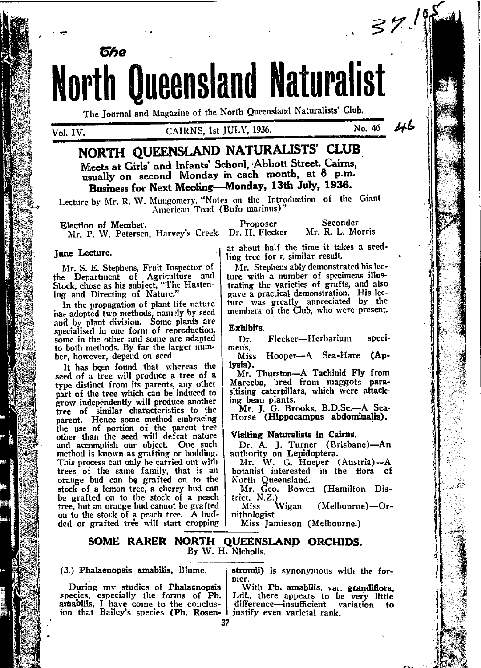North Queensland Naturalist The Journal and Magazine of the North Qucensland Naturalists' Club.

წჩი

# CAIRNS, 1st JULY, 1936.

 $46$ No. 46

 $37.5$ 

# NORTH QUEENSLAND NATURALISTS' CLUB Meets at Girls' and Infants' School, Abbott Street, Cairns, usually on second Monday in each month, at 8 p.m.

Business for Next Meeting-Monday. 13th July. 1936.

Lecture by Mr. R. W. Mungomery, "Notes on the Introduction of the Giant American Toad (Bufo marinus)"

Seconder Proposer Election of Member. Mr. P. W. Petersen, Harvey's Creek. Dr. H. Flecker Mr. R. L. Morris

### June Lecture.

Mr. S. E. Stephens, Fruit Inspector of the Department of Agriculture and<br>Stock, chose as his subject, "The Hastening and Directing of Nature.'

In the propagation of plant life nature has adopted two methods, namely by seed<br>and by plant division. Some plants are specialised in one form of reproduction, some in the other and some are adapted to both methods. By far the larger number, however, depend on seed.

It has been found that whereas the seed of a tree will produce a tree of a type distinct from its parents, any other part of the tree which can be induced to grow independently will produce another tree of similar characteristics to the parent. Hence some method embracing the use of portion of the parent tree<br>other than the seed will defeat nature<br>and accomplish our object. One such method is known as grafting or budding. This process can only be carried out with trees of the same family, that is an<br>orange bud can be grafted on to the stock of a lemon tree, a cherry bud can be grafted on to the stock of a peach tree, but an orange bud cannot be grafted on to the stock of a peach tree. A budded or grafted tree will start cropping

at about half the time it takes a seedling tree for a similar result.

Mr. Stephens ably demonstrated his lecture with a number of specimens illustrating the varieties of grafts, and also gave a practical demonstration. His lecture was greatly appreciated by the members of the Club, who were present.

#### Exhibits.

Flecker-Herbarium speci-Dr. mens.

Hooper-A Sea-Hare (Ap-**Miss** lysia).

Mr. Thurston-A Tachinid Fly from<br>Mareeba, bred from maggots parasitising caterpillars, which were attacking bean plants.

Mr. J. G. Brooks, B.D.Sc.-A Sea-Horse (Hippocampus abdominalis).

Visiting Naturalists in Cairns.

Dr. A. J. Turner (Brisbane)-An authority on Lepidoptera.

Mr. W. G. Hoeper (Austria)-A botanist interested in the flora of North Queensland.

Mr. Geo. Bowen (Hamilton District, N.Z.)

Wigan Miss (Melbourne)-Ornithologist.

Miss Jamieson (Melbourne.)

### SOME RARER NORTH QUEENSLAND ORCHIDS. By W. H. Nicholls.

#### (3.) Phalaenopsis amabilis, Blume.

During my studies of Phalaenopsis species, especially the forms of Ph. amabilis, I have come to the conclusion that Bailey's species (Ph. Rosenstromii) is synonymous with the former.

With Ph. amabilis, var. grandiflora, Ldl., there appears to be very little difference-insufficient variation to justify even varietal rank.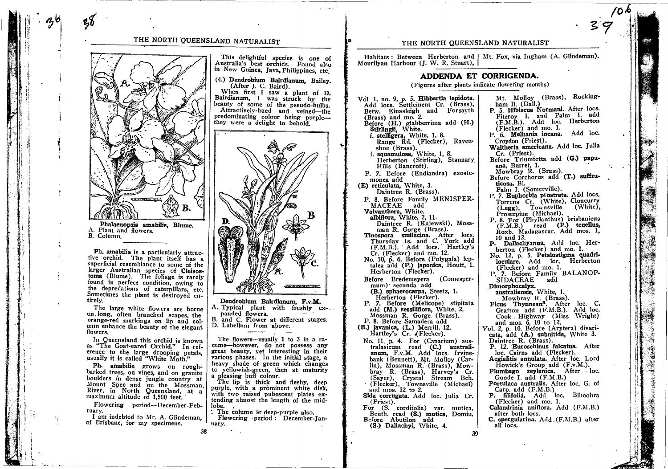# THE NORTH OUEENSLAND NATURALIST



Ph. amabilis is a particularly attractive orchid. The plant itself has a superficial resemblance to some of the larger Australian species of Cleisostoma (Blume). The foliage is rarely found in perfect condition, owing to the depredations of caterpillars, etc. Sometimes the plant is destroyed entirely.

The large white flowers are borne on long, often branched scapes, the orange-red markings on lip and column enhance the beauty of the elegant flowers

In Queensland this orchid is known as "The Goat-eared Orchid." In reference to the large drooping petals, usually it is called "White Moth."

Ph. amabilis grows on roughbarked trees, on vines, and on granite boulders in dense jungle country at Mount Spec and on the Mossman. River, in North Queensland, at a maximum altitude of 1,500 feet.

Flowering period-December-February.

I am indebted to Mr. A. Glindeman, of Brisbane, for my specimens.

38

This delightful species is one of Australia's best orchids. Found also in New Guinea, Java Philippines, etc.

(4.) Dendrobium Bairdianum, Bailey. (After J. C. Baird).

When first I saw a plant of D. Bairdianum, I was struck by the beauty of some of the pseudo-bulbs. Attractivelv-hued and veined-the predominating colour being purplethey were a delight to behold.



Dendrobium Bairdianum. F.v.M. Typical plant with freshly ex-A. panded flowers.  $\mathbf{R}$ . and C. Flower at different stages.

D. Labellum from above.

The flowers-usually 1 to 3 in a raceme-however, do not possess any great beauty, yet interesting in their various phases. In the initial stage, a heavy shade of green which changes to yellowish-green, then at maturity a pleasing buff colour.

The lip is thick and fleshy, deep purple, with a prominent white disk. with two raised pubescent plates extending almost the length of the midlobe. .

: The column is deep-purple also. Flowering period: December-Ianuary.

### THE NORTH QUEENSLAND NATURALIST

Habitats: Between Herberton and | Mt. Fox. via Ingham (A. Glindeman). Mourilyan Harbour (J. W. R. Stuart),

## ADDENDA ET CORRIGENDA.

(Figures after plants indicate flowering months)

Vol. 1, no. 9, p. 5. Hibbertia lepidota. Add locs. Settlement Cr. (Brass), Betw. Einasleigh and Forsayth (Brass) and mo. 2. Before (H.) glabberrima add (H.)<br>Stirlingii, White. f. stelligera, White, 1, 8. Range Rd. (Flecker), Raven-Range Rue, (1988).<br>
f. squamulosa, White, 1, 8.<br>
Herberton (Stirling), Stannary Hills (Bancroft). P. 7. Before (Endiandra) exostemonea add (E) reticulata, White. 3. Daintree R. (Brass). P. 8. Before Family MENISPER-MACEAE add Valvanthera. White. albiflora, White, 2, 11.<br>Daintree R. (Kajewski), Mossman R. Gorge (Brass). main R. Gorge Chrass.<br>Tinospora smilacina. After locs.<br>Thursday Is. and C. York add<br>(F.M.B.). Add locs. Hartley's<br>Cr. (Flecker) and mo. 12. No. 10, p. 6. Before (Polygala) leptalea add (P.) iaponica, Houtt, 1. Herberton (Flecker). Before Bredemeyera (Comesper $mum$ ) secunda add (B.) sphaerocarpa, Steetz, 1. Herberton (Flecker).<br>
P. 7. Before (Melicope) stipitata<br>
add (M.) sessilifiora, White, 2. Mossman R. Gorge. (Brass). P. 8. Before Samadera add (B.) javanica, (L.) Merrill, 12. Hartley's Cr. (Flecker). No. 11, p. 4. For (Canarium) australasicum read (C.) australi-<br>anum, F.v.M. Add locs. Irvinebank (Bennett), Mt. Mollov (Carlin), Mossman R. (Brass), Mowhir), Arossanan A. (Brass), Mow-<br>bray R. (Brass), Harvey's Cr.<br>(Sayer), Crystal Stream Bch.<br>(Flecker), Townsville (Michael)<br>and mos. 12 to 2. Sida corrugata. Add loc. Julia Cr.  $(Priest).$ For (S. cordifolia) var. mutica. Benth. read (S.) mutica. Domin. Before Abutilon add (S.) Dallachyi, White. 4. 39

ham B. (Dall.)<br>P. 5. Hibiscus Normani. After locs. Fitzroy I, and Palm I, add<br>(F.M.B.). Add loc. Herberton (Flecker) and mo. 1. P. 6. Melhania incana. Add loc. Croydon (Priest). Waltheria americana. Add loc. Julia  $Cr$  (Priest). Before Triumfetta add (G.) papuana, Burret, 1. Mowbray R. (Brass). Before Corchorus add (T.) suffruticosa, Bl. Palm I. (Somerville). P. 7. Euphorbia prostrata. Add locs. Torrens Cr. (White), Cloncurry (Legg). Townsville (White). Proserpine (Michael). P. 8. For (Phyllanthus) brisbanicus<br>
(F.M.B.) read (P.) tenellus, Roxb. Madagascar. Add mos. 1, 10 and 12. P. Dallachyanus. Add loc. Herberton (Flecker) and mo. 1. No. 12, p. 5. Petalostigma quadriloculare. Add loc. Herberton (Flecker) and mo. 1. P. 7. Before Family BALANOP-**SIDACEAE** add Dimorphocalvx. australiensis, White. 1. Mowbray R. (Brass). Ficus Thynnean<sup>a</sup>. After loc. C. Grafton add (F.M.B.). Add loc. Cook Highway (Miss Wright) and mos. 6, 10 to 12.<br>Vol. 2, p. 10. Before (Arytera) divaricata, add (A.) subnitida, White 3. Daintree R. (Brass). P. 12. Euroschinus falcatus. After loc. Cairns add (Flecker). Aegialitis annulata. After loc. Lord Howick's Group add (F.v.M.). Plumbago zeylanica. After loc. Goode I. add (F.M.B.) Portulaca australis. After loc. G. of Carp. add  $(F.M.B.)$ P. filifolia. Add loc. Biboohra (Flecker) and mo. 1. Calandrinia uniflora. Add (F.M.B.) after both locs. C. spergularina, Add (F.M.B.) after all locs.

大学 電話

Mt. Molloy (Brass). Rocking-